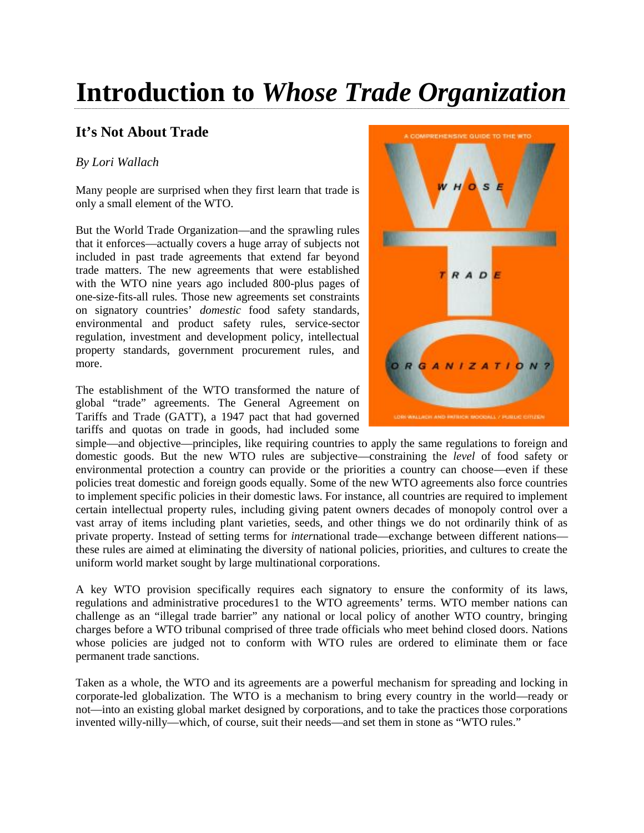# **Introduction to** *Whose Trade Organization*

# **It's Not About Trade**

## *By Lori Wallach*

Many people are surprised when they first learn that trade is only a small element of the WTO.

But the World Trade Organization—and the sprawling rules that it enforces—actually covers a huge array of subjects not included in past trade agreements that extend far beyond trade matters. The new agreements that were established with the WTO nine years ago included 800-plus pages of one-size-fits-all rules. Those new agreements set constraints on signatory countries' *domestic* food safety standards, environmental and product safety rules, service-sector regulation, investment and development policy, intellectual property standards, government procurement rules, and more.

The establishment of the WTO transformed the nature of global "trade" agreements. The General Agreement on Tariffs and Trade (GATT), a 1947 pact that had governed tariffs and quotas on trade in goods, had included some



simple—and objective—principles, like requiring countries to apply the same regulations to foreign and domestic goods. But the new WTO rules are subjective—constraining the *level* of food safety or environmental protection a country can provide or the priorities a country can choose—even if these policies treat domestic and foreign goods equally. Some of the new WTO agreements also force countries to implement specific policies in their domestic laws. For instance, all countries are required to implement certain intellectual property rules, including giving patent owners decades of monopoly control over a vast array of items including plant varieties, seeds, and other things we do not ordinarily think of as private property. Instead of setting terms for *inter*national trade—exchange between different nations these rules are aimed at eliminating the diversity of national policies, priorities, and cultures to create the uniform world market sought by large multinational corporations.

A key WTO provision specifically requires each signatory to ensure the conformity of its laws, regulations and administrative procedures1 to the WTO agreements' terms. WTO member nations can challenge as an "illegal trade barrier" any national or local policy of another WTO country, bringing charges before a WTO tribunal comprised of three trade officials who meet behind closed doors. Nations whose policies are judged not to conform with WTO rules are ordered to eliminate them or face permanent trade sanctions.

Taken as a whole, the WTO and its agreements are a powerful mechanism for spreading and locking in corporate-led globalization. The WTO is a mechanism to bring every country in the world—ready or not—into an existing global market designed by corporations, and to take the practices those corporations invented willy-nilly—which, of course, suit their needs—and set them in stone as "WTO rules."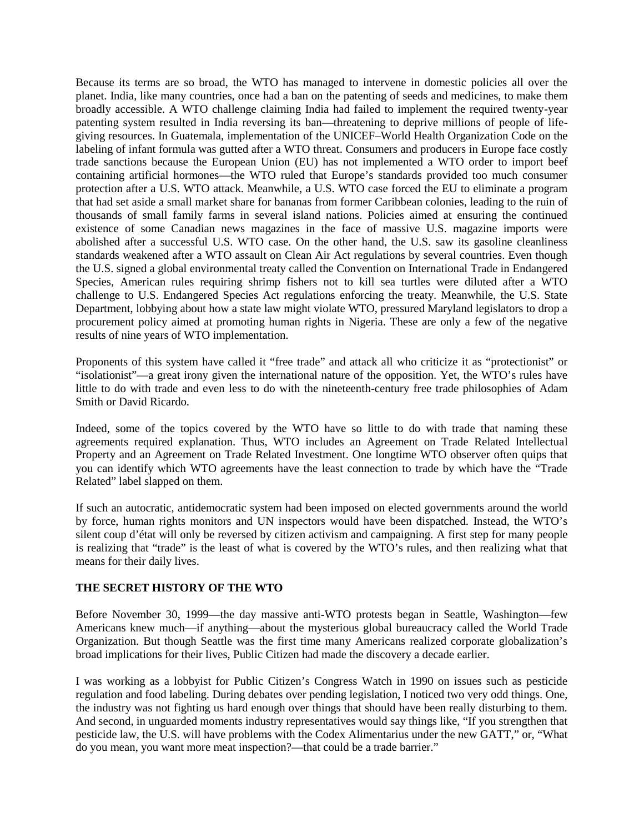Because its terms are so broad, the WTO has managed to intervene in domestic policies all over the planet. India, like many countries, once had a ban on the patenting of seeds and medicines, to make them broadly accessible. A WTO challenge claiming India had failed to implement the required twenty-year patenting system resulted in India reversing its ban—threatening to deprive millions of people of lifegiving resources. In Guatemala, implementation of the UNICEF–World Health Organization Code on the labeling of infant formula was gutted after a WTO threat. Consumers and producers in Europe face costly trade sanctions because the European Union (EU) has not implemented a WTO order to import beef containing artificial hormones—the WTO ruled that Europe's standards provided too much consumer protection after a U.S. WTO attack. Meanwhile, a U.S. WTO case forced the EU to eliminate a program that had set aside a small market share for bananas from former Caribbean colonies, leading to the ruin of thousands of small family farms in several island nations. Policies aimed at ensuring the continued existence of some Canadian news magazines in the face of massive U.S. magazine imports were abolished after a successful U.S. WTO case. On the other hand, the U.S. saw its gasoline cleanliness standards weakened after a WTO assault on Clean Air Act regulations by several countries. Even though the U.S. signed a global environmental treaty called the Convention on International Trade in Endangered Species, American rules requiring shrimp fishers not to kill sea turtles were diluted after a WTO challenge to U.S. Endangered Species Act regulations enforcing the treaty. Meanwhile, the U.S. State Department, lobbying about how a state law might violate WTO, pressured Maryland legislators to drop a procurement policy aimed at promoting human rights in Nigeria. These are only a few of the negative results of nine years of WTO implementation.

Proponents of this system have called it "free trade" and attack all who criticize it as "protectionist" or "isolationist"—a great irony given the international nature of the opposition. Yet, the WTO's rules have little to do with trade and even less to do with the nineteenth-century free trade philosophies of Adam Smith or David Ricardo.

Indeed, some of the topics covered by the WTO have so little to do with trade that naming these agreements required explanation. Thus, WTO includes an Agreement on Trade Related Intellectual Property and an Agreement on Trade Related Investment. One longtime WTO observer often quips that you can identify which WTO agreements have the least connection to trade by which have the "Trade Related" label slapped on them.

If such an autocratic, antidemocratic system had been imposed on elected governments around the world by force, human rights monitors and UN inspectors would have been dispatched. Instead, the WTO's silent coup d'état will only be reversed by citizen activism and campaigning. A first step for many people is realizing that "trade" is the least of what is covered by the WTO's rules, and then realizing what that means for their daily lives.

#### **THE SECRET HISTORY OF THE WTO**

Before November 30, 1999—the day massive anti-WTO protests began in Seattle, Washington—few Americans knew much—if anything—about the mysterious global bureaucracy called the World Trade Organization. But though Seattle was the first time many Americans realized corporate globalization's broad implications for their lives, Public Citizen had made the discovery a decade earlier.

I was working as a lobbyist for Public Citizen's Congress Watch in 1990 on issues such as pesticide regulation and food labeling. During debates over pending legislation, I noticed two very odd things. One, the industry was not fighting us hard enough over things that should have been really disturbing to them. And second, in unguarded moments industry representatives would say things like, "If you strengthen that pesticide law, the U.S. will have problems with the Codex Alimentarius under the new GATT," or, "What do you mean, you want more meat inspection?—that could be a trade barrier."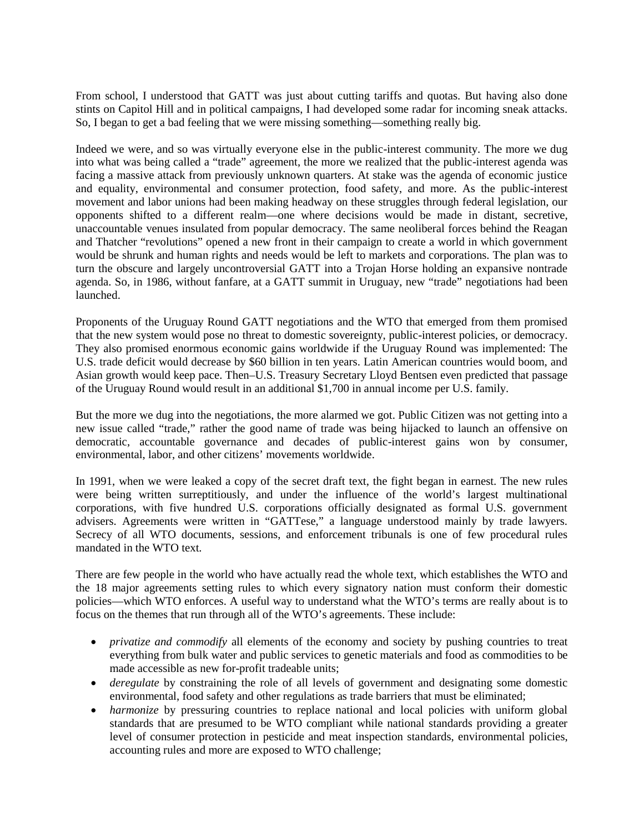From school, I understood that GATT was just about cutting tariffs and quotas. But having also done stints on Capitol Hill and in political campaigns, I had developed some radar for incoming sneak attacks. So, I began to get a bad feeling that we were missing something—something really big.

Indeed we were, and so was virtually everyone else in the public-interest community. The more we dug into what was being called a "trade" agreement, the more we realized that the public-interest agenda was facing a massive attack from previously unknown quarters. At stake was the agenda of economic justice and equality, environmental and consumer protection, food safety, and more. As the public-interest movement and labor unions had been making headway on these struggles through federal legislation, our opponents shifted to a different realm—one where decisions would be made in distant, secretive, unaccountable venues insulated from popular democracy. The same neoliberal forces behind the Reagan and Thatcher "revolutions" opened a new front in their campaign to create a world in which government would be shrunk and human rights and needs would be left to markets and corporations. The plan was to turn the obscure and largely uncontroversial GATT into a Trojan Horse holding an expansive nontrade agenda. So, in 1986, without fanfare, at a GATT summit in Uruguay, new "trade" negotiations had been launched.

Proponents of the Uruguay Round GATT negotiations and the WTO that emerged from them promised that the new system would pose no threat to domestic sovereignty, public-interest policies, or democracy. They also promised enormous economic gains worldwide if the Uruguay Round was implemented: The U.S. trade deficit would decrease by \$60 billion in ten years. Latin American countries would boom, and Asian growth would keep pace. Then–U.S. Treasury Secretary Lloyd Bentsen even predicted that passage of the Uruguay Round would result in an additional \$1,700 in annual income per U.S. family.

But the more we dug into the negotiations, the more alarmed we got. Public Citizen was not getting into a new issue called "trade," rather the good name of trade was being hijacked to launch an offensive on democratic, accountable governance and decades of public-interest gains won by consumer, environmental, labor, and other citizens' movements worldwide.

In 1991, when we were leaked a copy of the secret draft text, the fight began in earnest. The new rules were being written surreptitiously, and under the influence of the world's largest multinational corporations, with five hundred U.S. corporations officially designated as formal U.S. government advisers. Agreements were written in "GATTese," a language understood mainly by trade lawyers. Secrecy of all WTO documents, sessions, and enforcement tribunals is one of few procedural rules mandated in the WTO text.

There are few people in the world who have actually read the whole text, which establishes the WTO and the 18 major agreements setting rules to which every signatory nation must conform their domestic policies—which WTO enforces. A useful way to understand what the WTO's terms are really about is to focus on the themes that run through all of the WTO's agreements. These include:

- *privatize and commodify* all elements of the economy and society by pushing countries to treat everything from bulk water and public services to genetic materials and food as commodities to be made accessible as new for-profit tradeable units;
- *deregulate* by constraining the role of all levels of government and designating some domestic environmental, food safety and other regulations as trade barriers that must be eliminated;
- *harmonize* by pressuring countries to replace national and local policies with uniform global standards that are presumed to be WTO compliant while national standards providing a greater level of consumer protection in pesticide and meat inspection standards, environmental policies, accounting rules and more are exposed to WTO challenge;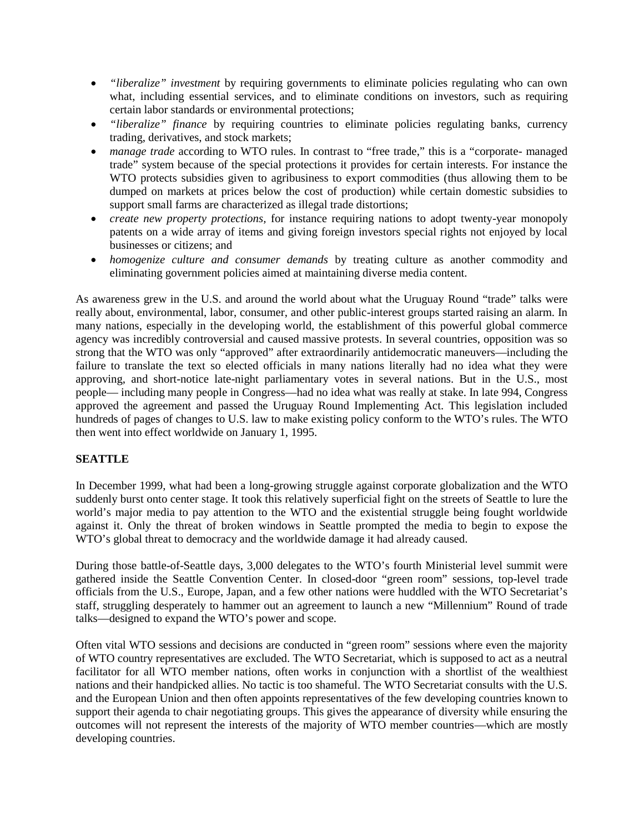- *"liberalize" investment* by requiring governments to eliminate policies regulating who can own what, including essential services, and to eliminate conditions on investors, such as requiring certain labor standards or environmental protections;
- *"liberalize" finance* by requiring countries to eliminate policies regulating banks, currency trading, derivatives, and stock markets;
- *manage trade* according to WTO rules. In contrast to "free trade," this is a "corporate- managed trade" system because of the special protections it provides for certain interests. For instance the WTO protects subsidies given to agribusiness to export commodities (thus allowing them to be dumped on markets at prices below the cost of production) while certain domestic subsidies to support small farms are characterized as illegal trade distortions;
- *create new property protections,* for instance requiring nations to adopt twenty-year monopoly patents on a wide array of items and giving foreign investors special rights not enjoyed by local businesses or citizens; and
- *homogenize culture and consumer demands* by treating culture as another commodity and eliminating government policies aimed at maintaining diverse media content.

As awareness grew in the U.S. and around the world about what the Uruguay Round "trade" talks were really about, environmental, labor, consumer, and other public-interest groups started raising an alarm. In many nations, especially in the developing world, the establishment of this powerful global commerce agency was incredibly controversial and caused massive protests. In several countries, opposition was so strong that the WTO was only "approved" after extraordinarily antidemocratic maneuvers—including the failure to translate the text so elected officials in many nations literally had no idea what they were approving, and short-notice late-night parliamentary votes in several nations. But in the U.S., most people— including many people in Congress—had no idea what was really at stake. In late 994, Congress approved the agreement and passed the Uruguay Round Implementing Act. This legislation included hundreds of pages of changes to U.S. law to make existing policy conform to the WTO's rules. The WTO then went into effect worldwide on January 1, 1995.

### **SEATTLE**

In December 1999, what had been a long-growing struggle against corporate globalization and the WTO suddenly burst onto center stage. It took this relatively superficial fight on the streets of Seattle to lure the world's major media to pay attention to the WTO and the existential struggle being fought worldwide against it. Only the threat of broken windows in Seattle prompted the media to begin to expose the WTO's global threat to democracy and the worldwide damage it had already caused.

During those battle-of-Seattle days, 3,000 delegates to the WTO's fourth Ministerial level summit were gathered inside the Seattle Convention Center. In closed-door "green room" sessions, top-level trade officials from the U.S., Europe, Japan, and a few other nations were huddled with the WTO Secretariat's staff, struggling desperately to hammer out an agreement to launch a new "Millennium" Round of trade talks—designed to expand the WTO's power and scope.

Often vital WTO sessions and decisions are conducted in "green room" sessions where even the majority of WTO country representatives are excluded. The WTO Secretariat, which is supposed to act as a neutral facilitator for all WTO member nations, often works in conjunction with a shortlist of the wealthiest nations and their handpicked allies. No tactic is too shameful. The WTO Secretariat consults with the U.S. and the European Union and then often appoints representatives of the few developing countries known to support their agenda to chair negotiating groups. This gives the appearance of diversity while ensuring the outcomes will not represent the interests of the majority of WTO member countries—which are mostly developing countries.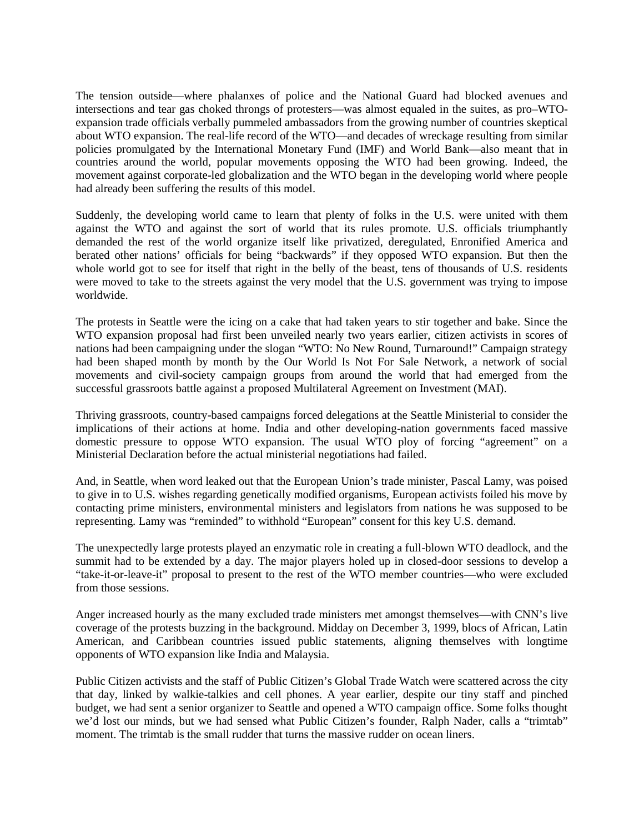The tension outside—where phalanxes of police and the National Guard had blocked avenues and intersections and tear gas choked throngs of protesters—was almost equaled in the suites, as pro–WTOexpansion trade officials verbally pummeled ambassadors from the growing number of countries skeptical about WTO expansion. The real-life record of the WTO—and decades of wreckage resulting from similar policies promulgated by the International Monetary Fund (IMF) and World Bank—also meant that in countries around the world, popular movements opposing the WTO had been growing. Indeed, the movement against corporate-led globalization and the WTO began in the developing world where people had already been suffering the results of this model.

Suddenly, the developing world came to learn that plenty of folks in the U.S. were united with them against the WTO and against the sort of world that its rules promote. U.S. officials triumphantly demanded the rest of the world organize itself like privatized, deregulated, Enronified America and berated other nations' officials for being "backwards" if they opposed WTO expansion. But then the whole world got to see for itself that right in the belly of the beast, tens of thousands of U.S. residents were moved to take to the streets against the very model that the U.S. government was trying to impose worldwide.

The protests in Seattle were the icing on a cake that had taken years to stir together and bake. Since the WTO expansion proposal had first been unveiled nearly two years earlier, citizen activists in scores of nations had been campaigning under the slogan "WTO: No New Round, Turnaround!" Campaign strategy had been shaped month by month by the Our World Is Not For Sale Network, a network of social movements and civil-society campaign groups from around the world that had emerged from the successful grassroots battle against a proposed Multilateral Agreement on Investment (MAI).

Thriving grassroots, country-based campaigns forced delegations at the Seattle Ministerial to consider the implications of their actions at home. India and other developing-nation governments faced massive domestic pressure to oppose WTO expansion. The usual WTO ploy of forcing "agreement" on a Ministerial Declaration before the actual ministerial negotiations had failed.

And, in Seattle, when word leaked out that the European Union's trade minister, Pascal Lamy, was poised to give in to U.S. wishes regarding genetically modified organisms, European activists foiled his move by contacting prime ministers, environmental ministers and legislators from nations he was supposed to be representing. Lamy was "reminded" to withhold "European" consent for this key U.S. demand.

The unexpectedly large protests played an enzymatic role in creating a full-blown WTO deadlock, and the summit had to be extended by a day. The major players holed up in closed-door sessions to develop a "take-it-or-leave-it" proposal to present to the rest of the WTO member countries—who were excluded from those sessions.

Anger increased hourly as the many excluded trade ministers met amongst themselves—with CNN's live coverage of the protests buzzing in the background. Midday on December 3, 1999, blocs of African, Latin American, and Caribbean countries issued public statements, aligning themselves with longtime opponents of WTO expansion like India and Malaysia.

Public Citizen activists and the staff of Public Citizen's Global Trade Watch were scattered across the city that day, linked by walkie-talkies and cell phones. A year earlier, despite our tiny staff and pinched budget, we had sent a senior organizer to Seattle and opened a WTO campaign office. Some folks thought we'd lost our minds, but we had sensed what Public Citizen's founder, Ralph Nader, calls a "trimtab" moment. The trimtab is the small rudder that turns the massive rudder on ocean liners.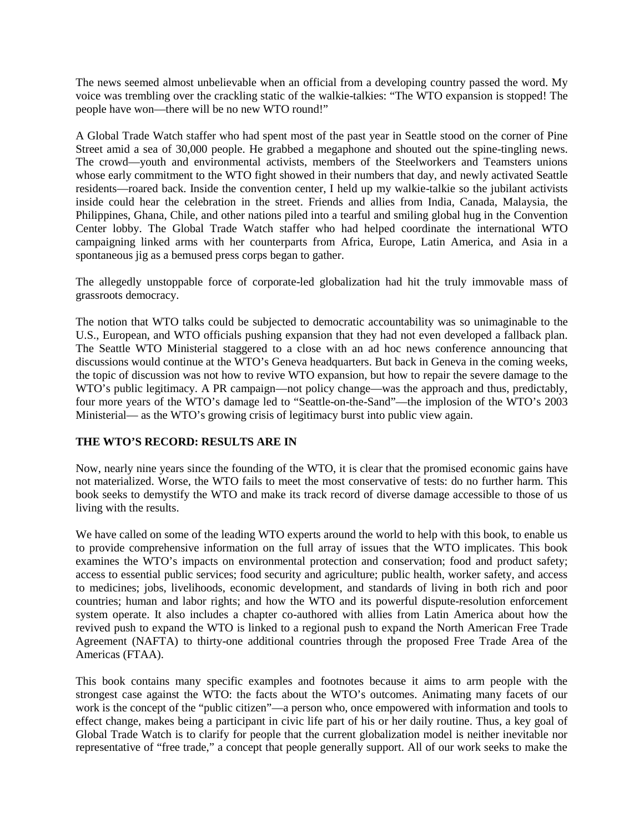The news seemed almost unbelievable when an official from a developing country passed the word. My voice was trembling over the crackling static of the walkie-talkies: "The WTO expansion is stopped! The people have won—there will be no new WTO round!"

A Global Trade Watch staffer who had spent most of the past year in Seattle stood on the corner of Pine Street amid a sea of 30,000 people. He grabbed a megaphone and shouted out the spine-tingling news. The crowd—youth and environmental activists, members of the Steelworkers and Teamsters unions whose early commitment to the WTO fight showed in their numbers that day, and newly activated Seattle residents—roared back. Inside the convention center, I held up my walkie-talkie so the jubilant activists inside could hear the celebration in the street. Friends and allies from India, Canada, Malaysia, the Philippines, Ghana, Chile, and other nations piled into a tearful and smiling global hug in the Convention Center lobby. The Global Trade Watch staffer who had helped coordinate the international WTO campaigning linked arms with her counterparts from Africa, Europe, Latin America, and Asia in a spontaneous jig as a bemused press corps began to gather.

The allegedly unstoppable force of corporate-led globalization had hit the truly immovable mass of grassroots democracy.

The notion that WTO talks could be subjected to democratic accountability was so unimaginable to the U.S., European, and WTO officials pushing expansion that they had not even developed a fallback plan. The Seattle WTO Ministerial staggered to a close with an ad hoc news conference announcing that discussions would continue at the WTO's Geneva headquarters. But back in Geneva in the coming weeks, the topic of discussion was not how to revive WTO expansion, but how to repair the severe damage to the WTO's public legitimacy. A PR campaign—not policy change—was the approach and thus, predictably, four more years of the WTO's damage led to "Seattle-on-the-Sand"—the implosion of the WTO's 2003 Ministerial— as the WTO's growing crisis of legitimacy burst into public view again.

#### **THE WTO'S RECORD: RESULTS ARE IN**

Now, nearly nine years since the founding of the WTO, it is clear that the promised economic gains have not materialized. Worse, the WTO fails to meet the most conservative of tests: do no further harm. This book seeks to demystify the WTO and make its track record of diverse damage accessible to those of us living with the results.

We have called on some of the leading WTO experts around the world to help with this book, to enable us to provide comprehensive information on the full array of issues that the WTO implicates. This book examines the WTO's impacts on environmental protection and conservation; food and product safety; access to essential public services; food security and agriculture; public health, worker safety, and access to medicines; jobs, livelihoods, economic development, and standards of living in both rich and poor countries; human and labor rights; and how the WTO and its powerful dispute-resolution enforcement system operate. It also includes a chapter co-authored with allies from Latin America about how the revived push to expand the WTO is linked to a regional push to expand the North American Free Trade Agreement (NAFTA) to thirty-one additional countries through the proposed Free Trade Area of the Americas (FTAA).

This book contains many specific examples and footnotes because it aims to arm people with the strongest case against the WTO: the facts about the WTO's outcomes. Animating many facets of our work is the concept of the "public citizen"—a person who, once empowered with information and tools to effect change, makes being a participant in civic life part of his or her daily routine. Thus, a key goal of Global Trade Watch is to clarify for people that the current globalization model is neither inevitable nor representative of "free trade," a concept that people generally support. All of our work seeks to make the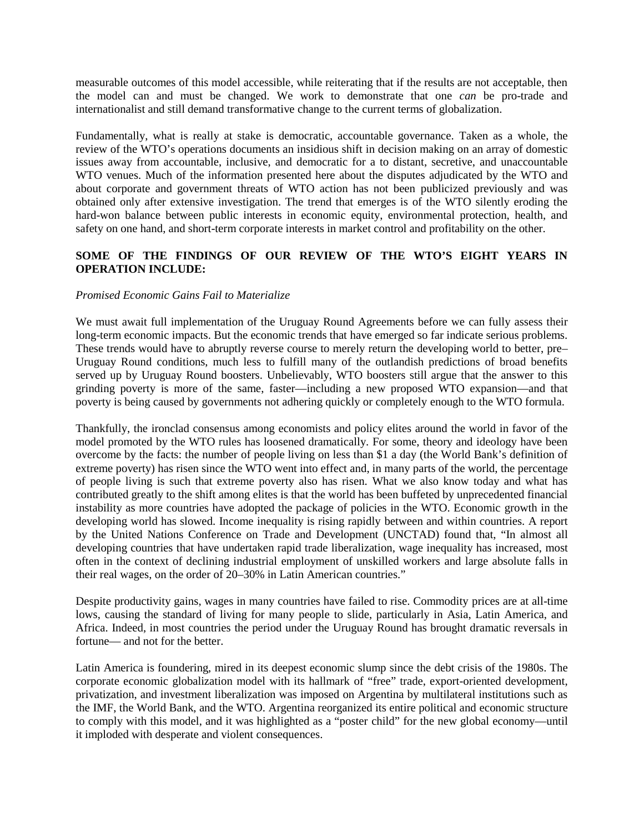measurable outcomes of this model accessible, while reiterating that if the results are not acceptable, then the model can and must be changed. We work to demonstrate that one *can* be pro-trade and internationalist and still demand transformative change to the current terms of globalization.

Fundamentally, what is really at stake is democratic, accountable governance. Taken as a whole, the review of the WTO's operations documents an insidious shift in decision making on an array of domestic issues away from accountable, inclusive, and democratic for a to distant, secretive, and unaccountable WTO venues. Much of the information presented here about the disputes adjudicated by the WTO and about corporate and government threats of WTO action has not been publicized previously and was obtained only after extensive investigation. The trend that emerges is of the WTO silently eroding the hard-won balance between public interests in economic equity, environmental protection, health, and safety on one hand, and short-term corporate interests in market control and profitability on the other.

#### **SOME OF THE FINDINGS OF OUR REVIEW OF THE WTO'S EIGHT YEARS IN OPERATION INCLUDE:**

#### *Promised Economic Gains Fail to Materialize*

We must await full implementation of the Uruguay Round Agreements before we can fully assess their long-term economic impacts. But the economic trends that have emerged so far indicate serious problems. These trends would have to abruptly reverse course to merely return the developing world to better, pre– Uruguay Round conditions, much less to fulfill many of the outlandish predictions of broad benefits served up by Uruguay Round boosters. Unbelievably, WTO boosters still argue that the answer to this grinding poverty is more of the same, faster—including a new proposed WTO expansion—and that poverty is being caused by governments not adhering quickly or completely enough to the WTO formula.

Thankfully, the ironclad consensus among economists and policy elites around the world in favor of the model promoted by the WTO rules has loosened dramatically. For some, theory and ideology have been overcome by the facts: the number of people living on less than \$1 a day (the World Bank's definition of extreme poverty) has risen since the WTO went into effect and, in many parts of the world, the percentage of people living is such that extreme poverty also has risen. What we also know today and what has contributed greatly to the shift among elites is that the world has been buffeted by unprecedented financial instability as more countries have adopted the package of policies in the WTO. Economic growth in the developing world has slowed. Income inequality is rising rapidly between and within countries. A report by the United Nations Conference on Trade and Development (UNCTAD) found that, "In almost all developing countries that have undertaken rapid trade liberalization, wage inequality has increased, most often in the context of declining industrial employment of unskilled workers and large absolute falls in their real wages, on the order of 20–30% in Latin American countries."

Despite productivity gains, wages in many countries have failed to rise. Commodity prices are at all-time lows, causing the standard of living for many people to slide, particularly in Asia, Latin America, and Africa. Indeed, in most countries the period under the Uruguay Round has brought dramatic reversals in fortune— and not for the better.

Latin America is foundering, mired in its deepest economic slump since the debt crisis of the 1980s. The corporate economic globalization model with its hallmark of "free" trade, export-oriented development, privatization, and investment liberalization was imposed on Argentina by multilateral institutions such as the IMF, the World Bank, and the WTO. Argentina reorganized its entire political and economic structure to comply with this model, and it was highlighted as a "poster child" for the new global economy—until it imploded with desperate and violent consequences.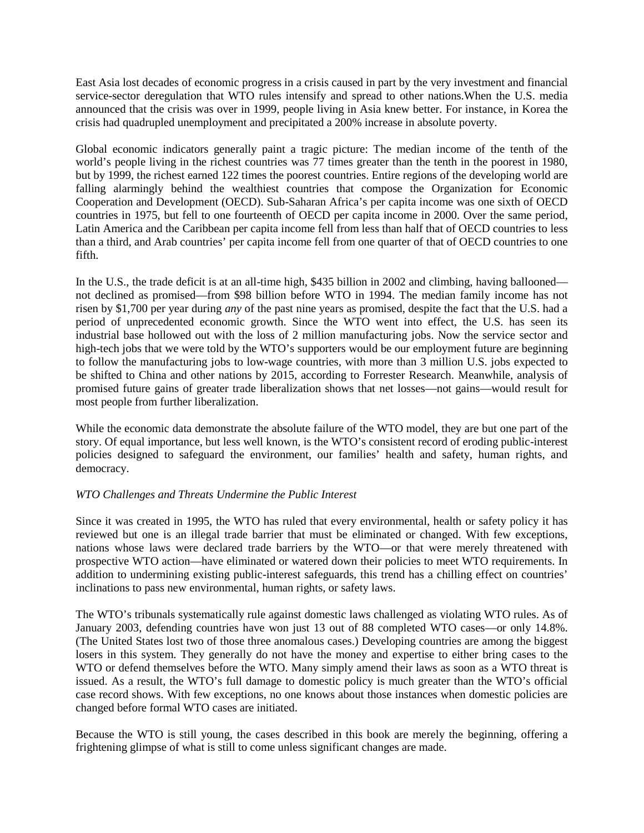East Asia lost decades of economic progress in a crisis caused in part by the very investment and financial service-sector deregulation that WTO rules intensify and spread to other nations.When the U.S. media announced that the crisis was over in 1999, people living in Asia knew better. For instance, in Korea the crisis had quadrupled unemployment and precipitated a 200% increase in absolute poverty.

Global economic indicators generally paint a tragic picture: The median income of the tenth of the world's people living in the richest countries was 77 times greater than the tenth in the poorest in 1980, but by 1999, the richest earned 122 times the poorest countries. Entire regions of the developing world are falling alarmingly behind the wealthiest countries that compose the Organization for Economic Cooperation and Development (OECD). Sub-Saharan Africa's per capita income was one sixth of OECD countries in 1975, but fell to one fourteenth of OECD per capita income in 2000. Over the same period, Latin America and the Caribbean per capita income fell from less than half that of OECD countries to less than a third, and Arab countries' per capita income fell from one quarter of that of OECD countries to one fifth.

In the U.S., the trade deficit is at an all-time high, \$435 billion in 2002 and climbing, having ballooned not declined as promised—from \$98 billion before WTO in 1994. The median family income has not risen by \$1,700 per year during *any* of the past nine years as promised, despite the fact that the U.S. had a period of unprecedented economic growth. Since the WTO went into effect, the U.S. has seen its industrial base hollowed out with the loss of 2 million manufacturing jobs. Now the service sector and high-tech jobs that we were told by the WTO's supporters would be our employment future are beginning to follow the manufacturing jobs to low-wage countries, with more than 3 million U.S. jobs expected to be shifted to China and other nations by 2015, according to Forrester Research. Meanwhile, analysis of promised future gains of greater trade liberalization shows that net losses—not gains—would result for most people from further liberalization.

While the economic data demonstrate the absolute failure of the WTO model, they are but one part of the story. Of equal importance, but less well known, is the WTO's consistent record of eroding public-interest policies designed to safeguard the environment, our families' health and safety, human rights, and democracy.

#### *WTO Challenges and Threats Undermine the Public Interest*

Since it was created in 1995, the WTO has ruled that every environmental, health or safety policy it has reviewed but one is an illegal trade barrier that must be eliminated or changed. With few exceptions, nations whose laws were declared trade barriers by the WTO—or that were merely threatened with prospective WTO action—have eliminated or watered down their policies to meet WTO requirements. In addition to undermining existing public-interest safeguards, this trend has a chilling effect on countries' inclinations to pass new environmental, human rights, or safety laws.

The WTO's tribunals systematically rule against domestic laws challenged as violating WTO rules. As of January 2003, defending countries have won just 13 out of 88 completed WTO cases—or only 14.8%. (The United States lost two of those three anomalous cases.) Developing countries are among the biggest losers in this system. They generally do not have the money and expertise to either bring cases to the WTO or defend themselves before the WTO. Many simply amend their laws as soon as a WTO threat is issued. As a result, the WTO's full damage to domestic policy is much greater than the WTO's official case record shows. With few exceptions, no one knows about those instances when domestic policies are changed before formal WTO cases are initiated.

Because the WTO is still young, the cases described in this book are merely the beginning, offering a frightening glimpse of what is still to come unless significant changes are made.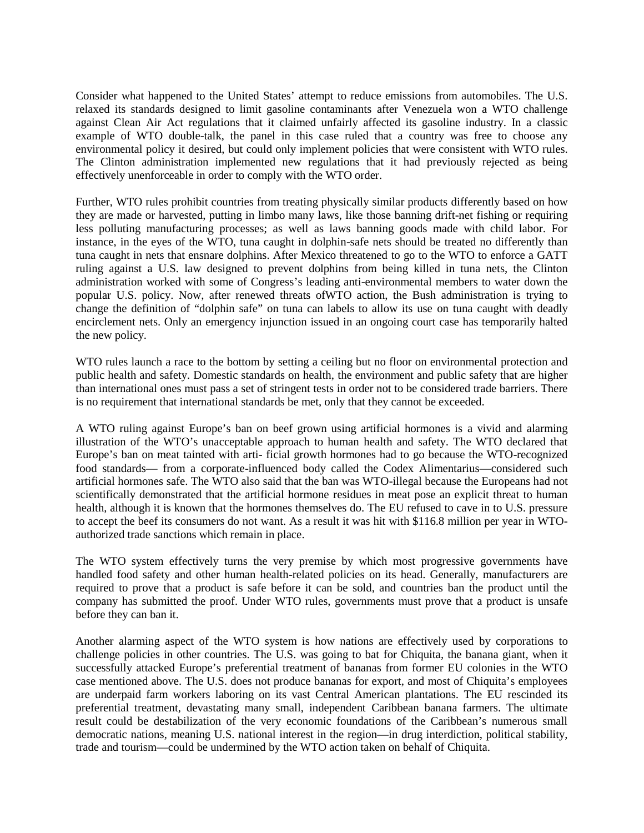Consider what happened to the United States' attempt to reduce emissions from automobiles. The U.S. relaxed its standards designed to limit gasoline contaminants after Venezuela won a WTO challenge against Clean Air Act regulations that it claimed unfairly affected its gasoline industry. In a classic example of WTO double-talk, the panel in this case ruled that a country was free to choose any environmental policy it desired, but could only implement policies that were consistent with WTO rules. The Clinton administration implemented new regulations that it had previously rejected as being effectively unenforceable in order to comply with the WTO order.

Further, WTO rules prohibit countries from treating physically similar products differently based on how they are made or harvested, putting in limbo many laws, like those banning drift-net fishing or requiring less polluting manufacturing processes; as well as laws banning goods made with child labor. For instance, in the eyes of the WTO, tuna caught in dolphin-safe nets should be treated no differently than tuna caught in nets that ensnare dolphins. After Mexico threatened to go to the WTO to enforce a GATT ruling against a U.S. law designed to prevent dolphins from being killed in tuna nets, the Clinton administration worked with some of Congress's leading anti-environmental members to water down the popular U.S. policy. Now, after renewed threats ofWTO action, the Bush administration is trying to change the definition of "dolphin safe" on tuna can labels to allow its use on tuna caught with deadly encirclement nets. Only an emergency injunction issued in an ongoing court case has temporarily halted the new policy.

WTO rules launch a race to the bottom by setting a ceiling but no floor on environmental protection and public health and safety. Domestic standards on health, the environment and public safety that are higher than international ones must pass a set of stringent tests in order not to be considered trade barriers. There is no requirement that international standards be met, only that they cannot be exceeded.

A WTO ruling against Europe's ban on beef grown using artificial hormones is a vivid and alarming illustration of the WTO's unacceptable approach to human health and safety. The WTO declared that Europe's ban on meat tainted with arti- ficial growth hormones had to go because the WTO-recognized food standards— from a corporate-influenced body called the Codex Alimentarius—considered such artificial hormones safe. The WTO also said that the ban was WTO-illegal because the Europeans had not scientifically demonstrated that the artificial hormone residues in meat pose an explicit threat to human health, although it is known that the hormones themselves do. The EU refused to cave in to U.S. pressure to accept the beef its consumers do not want. As a result it was hit with \$116.8 million per year in WTOauthorized trade sanctions which remain in place.

The WTO system effectively turns the very premise by which most progressive governments have handled food safety and other human health-related policies on its head. Generally, manufacturers are required to prove that a product is safe before it can be sold, and countries ban the product until the company has submitted the proof. Under WTO rules, governments must prove that a product is unsafe before they can ban it.

Another alarming aspect of the WTO system is how nations are effectively used by corporations to challenge policies in other countries. The U.S. was going to bat for Chiquita, the banana giant, when it successfully attacked Europe's preferential treatment of bananas from former EU colonies in the WTO case mentioned above. The U.S. does not produce bananas for export, and most of Chiquita's employees are underpaid farm workers laboring on its vast Central American plantations. The EU rescinded its preferential treatment, devastating many small, independent Caribbean banana farmers. The ultimate result could be destabilization of the very economic foundations of the Caribbean's numerous small democratic nations, meaning U.S. national interest in the region—in drug interdiction, political stability, trade and tourism—could be undermined by the WTO action taken on behalf of Chiquita.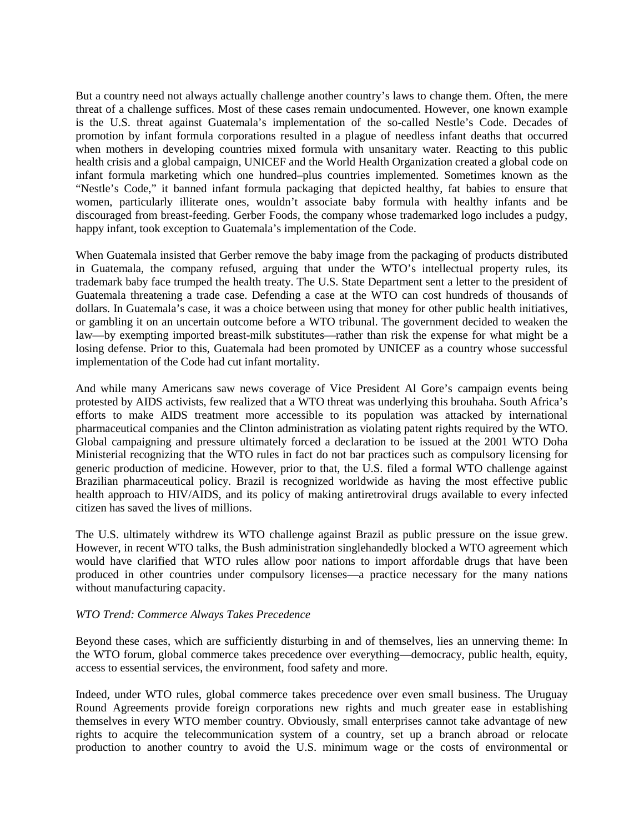But a country need not always actually challenge another country's laws to change them. Often, the mere threat of a challenge suffices. Most of these cases remain undocumented. However, one known example is the U.S. threat against Guatemala's implementation of the so-called Nestle's Code. Decades of promotion by infant formula corporations resulted in a plague of needless infant deaths that occurred when mothers in developing countries mixed formula with unsanitary water. Reacting to this public health crisis and a global campaign, UNICEF and the World Health Organization created a global code on infant formula marketing which one hundred–plus countries implemented. Sometimes known as the "Nestle's Code," it banned infant formula packaging that depicted healthy, fat babies to ensure that women, particularly illiterate ones, wouldn't associate baby formula with healthy infants and be discouraged from breast-feeding. Gerber Foods, the company whose trademarked logo includes a pudgy, happy infant, took exception to Guatemala's implementation of the Code.

When Guatemala insisted that Gerber remove the baby image from the packaging of products distributed in Guatemala, the company refused, arguing that under the WTO's intellectual property rules, its trademark baby face trumped the health treaty. The U.S. State Department sent a letter to the president of Guatemala threatening a trade case. Defending a case at the WTO can cost hundreds of thousands of dollars. In Guatemala's case, it was a choice between using that money for other public health initiatives, or gambling it on an uncertain outcome before a WTO tribunal. The government decided to weaken the law—by exempting imported breast-milk substitutes—rather than risk the expense for what might be a losing defense. Prior to this, Guatemala had been promoted by UNICEF as a country whose successful implementation of the Code had cut infant mortality.

And while many Americans saw news coverage of Vice President Al Gore's campaign events being protested by AIDS activists, few realized that a WTO threat was underlying this brouhaha. South Africa's efforts to make AIDS treatment more accessible to its population was attacked by international pharmaceutical companies and the Clinton administration as violating patent rights required by the WTO. Global campaigning and pressure ultimately forced a declaration to be issued at the 2001 WTO Doha Ministerial recognizing that the WTO rules in fact do not bar practices such as compulsory licensing for generic production of medicine. However, prior to that, the U.S. filed a formal WTO challenge against Brazilian pharmaceutical policy. Brazil is recognized worldwide as having the most effective public health approach to HIV/AIDS, and its policy of making antiretroviral drugs available to every infected citizen has saved the lives of millions.

The U.S. ultimately withdrew its WTO challenge against Brazil as public pressure on the issue grew. However, in recent WTO talks, the Bush administration singlehandedly blocked a WTO agreement which would have clarified that WTO rules allow poor nations to import affordable drugs that have been produced in other countries under compulsory licenses—a practice necessary for the many nations without manufacturing capacity.

#### *WTO Trend: Commerce Always Takes Precedence*

Beyond these cases, which are sufficiently disturbing in and of themselves, lies an unnerving theme: In the WTO forum, global commerce takes precedence over everything—democracy, public health, equity, access to essential services, the environment, food safety and more.

Indeed, under WTO rules, global commerce takes precedence over even small business. The Uruguay Round Agreements provide foreign corporations new rights and much greater ease in establishing themselves in every WTO member country. Obviously, small enterprises cannot take advantage of new rights to acquire the telecommunication system of a country, set up a branch abroad or relocate production to another country to avoid the U.S. minimum wage or the costs of environmental or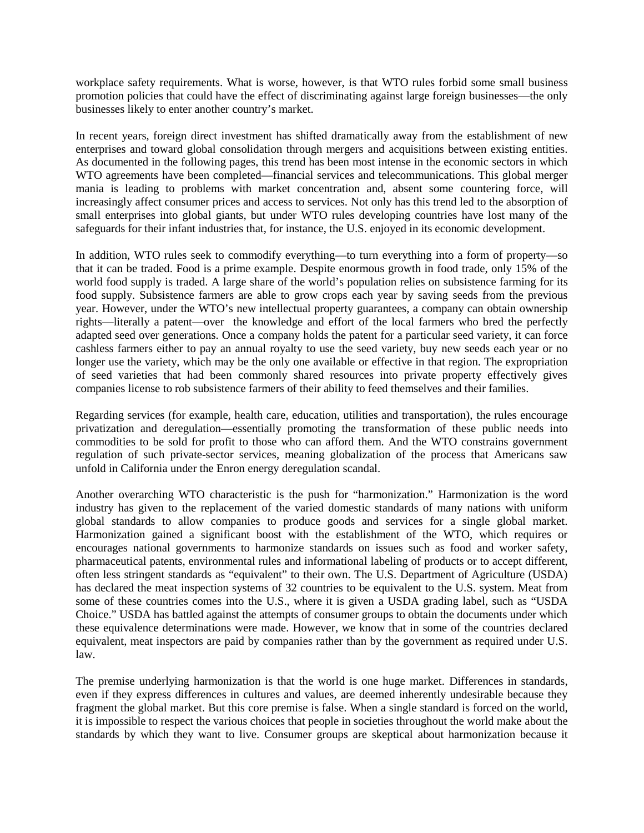workplace safety requirements. What is worse, however, is that WTO rules forbid some small business promotion policies that could have the effect of discriminating against large foreign businesses—the only businesses likely to enter another country's market.

In recent years, foreign direct investment has shifted dramatically away from the establishment of new enterprises and toward global consolidation through mergers and acquisitions between existing entities. As documented in the following pages, this trend has been most intense in the economic sectors in which WTO agreements have been completed—financial services and telecommunications. This global merger mania is leading to problems with market concentration and, absent some countering force, will increasingly affect consumer prices and access to services. Not only has this trend led to the absorption of small enterprises into global giants, but under WTO rules developing countries have lost many of the safeguards for their infant industries that, for instance, the U.S. enjoyed in its economic development.

In addition, WTO rules seek to commodify everything—to turn everything into a form of property—so that it can be traded. Food is a prime example. Despite enormous growth in food trade, only 15% of the world food supply is traded. A large share of the world's population relies on subsistence farming for its food supply. Subsistence farmers are able to grow crops each year by saving seeds from the previous year. However, under the WTO's new intellectual property guarantees, a company can obtain ownership rights—literally a patent—over the knowledge and effort of the local farmers who bred the perfectly adapted seed over generations. Once a company holds the patent for a particular seed variety, it can force cashless farmers either to pay an annual royalty to use the seed variety, buy new seeds each year or no longer use the variety, which may be the only one available or effective in that region. The expropriation of seed varieties that had been commonly shared resources into private property effectively gives companies license to rob subsistence farmers of their ability to feed themselves and their families.

Regarding services (for example, health care, education, utilities and transportation), the rules encourage privatization and deregulation—essentially promoting the transformation of these public needs into commodities to be sold for profit to those who can afford them. And the WTO constrains government regulation of such private-sector services, meaning globalization of the process that Americans saw unfold in California under the Enron energy deregulation scandal.

Another overarching WTO characteristic is the push for "harmonization." Harmonization is the word industry has given to the replacement of the varied domestic standards of many nations with uniform global standards to allow companies to produce goods and services for a single global market. Harmonization gained a significant boost with the establishment of the WTO, which requires or encourages national governments to harmonize standards on issues such as food and worker safety, pharmaceutical patents, environmental rules and informational labeling of products or to accept different, often less stringent standards as "equivalent" to their own. The U.S. Department of Agriculture (USDA) has declared the meat inspection systems of 32 countries to be equivalent to the U.S. system. Meat from some of these countries comes into the U.S., where it is given a USDA grading label, such as "USDA Choice." USDA has battled against the attempts of consumer groups to obtain the documents under which these equivalence determinations were made. However, we know that in some of the countries declared equivalent, meat inspectors are paid by companies rather than by the government as required under U.S. law.

The premise underlying harmonization is that the world is one huge market. Differences in standards, even if they express differences in cultures and values, are deemed inherently undesirable because they fragment the global market. But this core premise is false. When a single standard is forced on the world, it is impossible to respect the various choices that people in societies throughout the world make about the standards by which they want to live. Consumer groups are skeptical about harmonization because it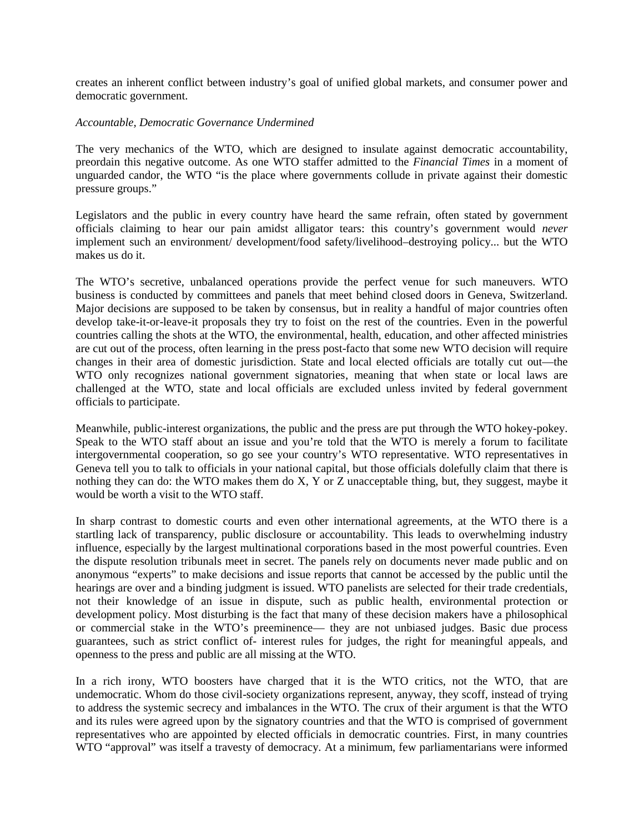creates an inherent conflict between industry's goal of unified global markets, and consumer power and democratic government.

#### *Accountable, Democratic Governance Undermined*

The very mechanics of the WTO, which are designed to insulate against democratic accountability, preordain this negative outcome. As one WTO staffer admitted to the *Financial Times* in a moment of unguarded candor, the WTO "is the place where governments collude in private against their domestic pressure groups."

Legislators and the public in every country have heard the same refrain, often stated by government officials claiming to hear our pain amidst alligator tears: this country's government would *never* implement such an environment/ development/food safety/livelihood–destroying policy... but the WTO makes us do it.

The WTO's secretive, unbalanced operations provide the perfect venue for such maneuvers. WTO business is conducted by committees and panels that meet behind closed doors in Geneva, Switzerland. Major decisions are supposed to be taken by consensus, but in reality a handful of major countries often develop take-it-or-leave-it proposals they try to foist on the rest of the countries. Even in the powerful countries calling the shots at the WTO, the environmental, health, education, and other affected ministries are cut out of the process, often learning in the press post-facto that some new WTO decision will require changes in their area of domestic jurisdiction. State and local elected officials are totally cut out—the WTO only recognizes national government signatories, meaning that when state or local laws are challenged at the WTO, state and local officials are excluded unless invited by federal government officials to participate.

Meanwhile, public-interest organizations, the public and the press are put through the WTO hokey-pokey. Speak to the WTO staff about an issue and you're told that the WTO is merely a forum to facilitate intergovernmental cooperation, so go see your country's WTO representative. WTO representatives in Geneva tell you to talk to officials in your national capital, but those officials dolefully claim that there is nothing they can do: the WTO makes them do X, Y or Z unacceptable thing, but, they suggest, maybe it would be worth a visit to the WTO staff.

In sharp contrast to domestic courts and even other international agreements, at the WTO there is a startling lack of transparency, public disclosure or accountability. This leads to overwhelming industry influence, especially by the largest multinational corporations based in the most powerful countries. Even the dispute resolution tribunals meet in secret. The panels rely on documents never made public and on anonymous "experts" to make decisions and issue reports that cannot be accessed by the public until the hearings are over and a binding judgment is issued. WTO panelists are selected for their trade credentials, not their knowledge of an issue in dispute, such as public health, environmental protection or development policy. Most disturbing is the fact that many of these decision makers have a philosophical or commercial stake in the WTO's preeminence— they are not unbiased judges. Basic due process guarantees, such as strict conflict of- interest rules for judges, the right for meaningful appeals, and openness to the press and public are all missing at the WTO.

In a rich irony, WTO boosters have charged that it is the WTO critics, not the WTO, that are undemocratic. Whom do those civil-society organizations represent, anyway, they scoff, instead of trying to address the systemic secrecy and imbalances in the WTO. The crux of their argument is that the WTO and its rules were agreed upon by the signatory countries and that the WTO is comprised of government representatives who are appointed by elected officials in democratic countries. First, in many countries WTO "approval" was itself a travesty of democracy. At a minimum, few parliamentarians were informed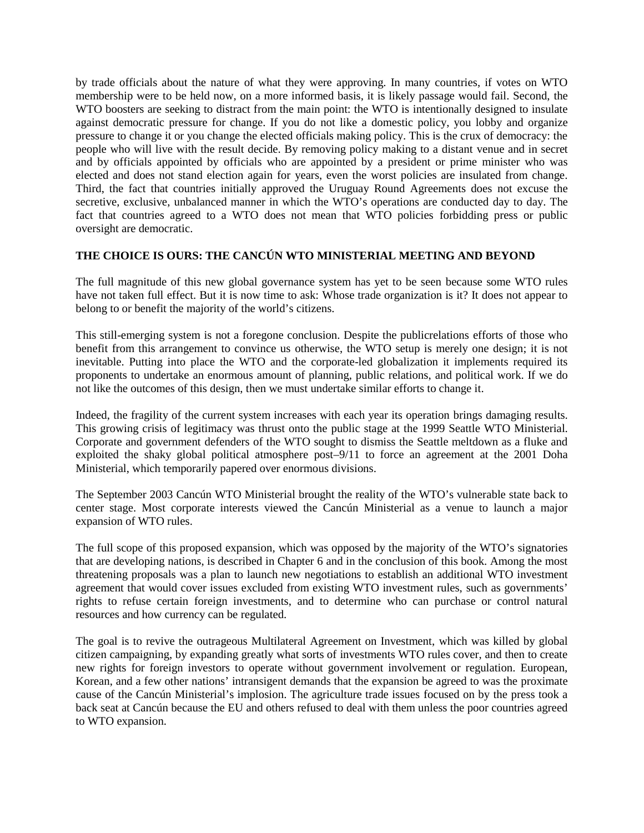by trade officials about the nature of what they were approving. In many countries, if votes on WTO membership were to be held now, on a more informed basis, it is likely passage would fail. Second, the WTO boosters are seeking to distract from the main point: the WTO is intentionally designed to insulate against democratic pressure for change. If you do not like a domestic policy, you lobby and organize pressure to change it or you change the elected officials making policy. This is the crux of democracy: the people who will live with the result decide. By removing policy making to a distant venue and in secret and by officials appointed by officials who are appointed by a president or prime minister who was elected and does not stand election again for years, even the worst policies are insulated from change. Third, the fact that countries initially approved the Uruguay Round Agreements does not excuse the secretive, exclusive, unbalanced manner in which the WTO's operations are conducted day to day. The fact that countries agreed to a WTO does not mean that WTO policies forbidding press or public oversight are democratic.

#### **THE CHOICE IS OURS: THE CANCÚN WTO MINISTERIAL MEETING AND BEYOND**

The full magnitude of this new global governance system has yet to be seen because some WTO rules have not taken full effect. But it is now time to ask: Whose trade organization is it? It does not appear to belong to or benefit the majority of the world's citizens.

This still-emerging system is not a foregone conclusion. Despite the publicrelations efforts of those who benefit from this arrangement to convince us otherwise, the WTO setup is merely one design; it is not inevitable. Putting into place the WTO and the corporate-led globalization it implements required its proponents to undertake an enormous amount of planning, public relations, and political work. If we do not like the outcomes of this design, then we must undertake similar efforts to change it.

Indeed, the fragility of the current system increases with each year its operation brings damaging results. This growing crisis of legitimacy was thrust onto the public stage at the 1999 Seattle WTO Ministerial. Corporate and government defenders of the WTO sought to dismiss the Seattle meltdown as a fluke and exploited the shaky global political atmosphere post–9/11 to force an agreement at the 2001 Doha Ministerial, which temporarily papered over enormous divisions.

The September 2003 Cancún WTO Ministerial brought the reality of the WTO's vulnerable state back to center stage. Most corporate interests viewed the Cancún Ministerial as a venue to launch a major expansion of WTO rules.

The full scope of this proposed expansion, which was opposed by the majority of the WTO's signatories that are developing nations, is described in Chapter 6 and in the conclusion of this book. Among the most threatening proposals was a plan to launch new negotiations to establish an additional WTO investment agreement that would cover issues excluded from existing WTO investment rules, such as governments' rights to refuse certain foreign investments, and to determine who can purchase or control natural resources and how currency can be regulated.

The goal is to revive the outrageous Multilateral Agreement on Investment, which was killed by global citizen campaigning, by expanding greatly what sorts of investments WTO rules cover, and then to create new rights for foreign investors to operate without government involvement or regulation. European, Korean, and a few other nations' intransigent demands that the expansion be agreed to was the proximate cause of the Cancún Ministerial's implosion. The agriculture trade issues focused on by the press took a back seat at Cancún because the EU and others refused to deal with them unless the poor countries agreed to WTO expansion.